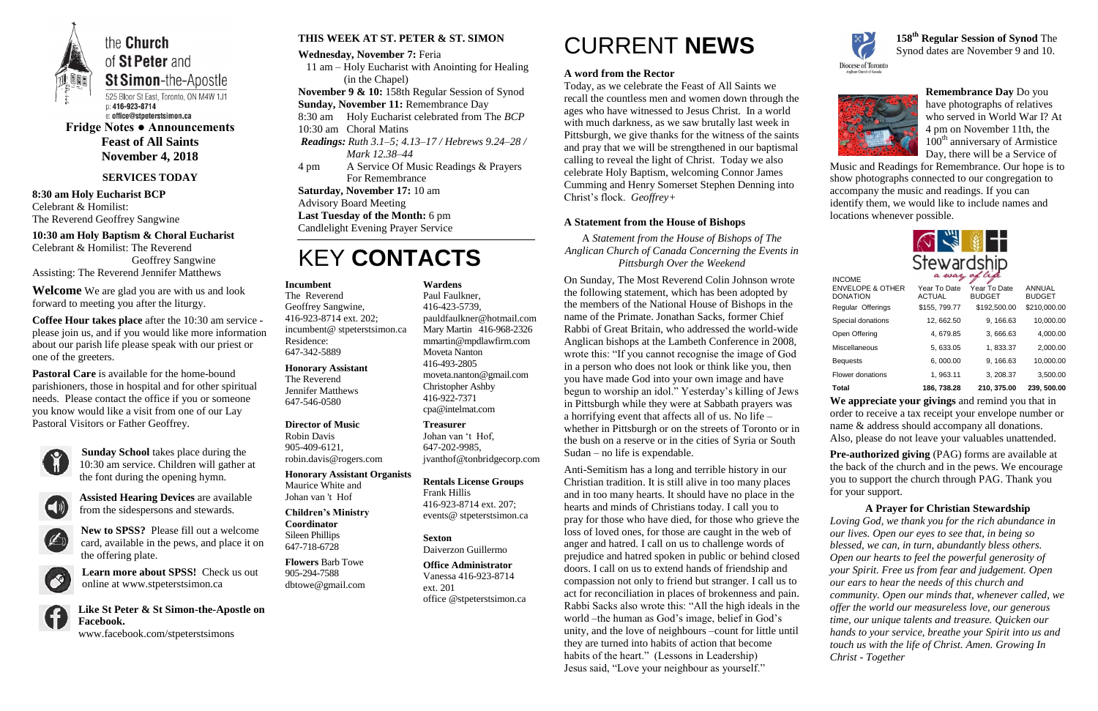

the **Church** of St Peter and

**St Simon-the-Apostle** 525 Bloor St East, Toronto, ON M4W 1J1 p: 416-923-8714 e: office@stpeterstsimon.ca

**Fridge Notes ● Announcements Feast of All Saints November 4, 2018**

# **SERVICES TODAY**

**8:30 am Holy Eucharist BCP** Celebrant & Homilist: The Reverend Geoffrey Sangwine

**10:30 am Holy Baptism & Choral Eucharist** Celebrant & Homilist: The Reverend Geoffrey Sangwine

Assisting: The Reverend Jennifer Matthews

**Welcome** We are glad you are with us and look forward to meeting you after the liturgy.

**Coffee Hour takes place** after the 10:30 am service please join us, and if you would like more information about our parish life please speak with our priest or one of the greeters.

**Pastoral Care** is available for the home-bound parishioners, those in hospital and for other spiritual needs. Please contact the office if you or someone you know would like a visit from one of our Lay Pastoral Visitors or Father Geoffrey.



**Sunday School** takes place during the 10:30 am service. Children will gather at the font during the opening hymn.



**Assisted Hearing Devices** are available from the sidespersons and stewards.



**New to SPSS?** Please fill out a welcome card, available in the pews, and place it on the offering plate.

**Learn more about SPSS!** Check us out online at www.stpeterstsimon.ca



**Like St Peter & St Simon-the-Apostle on Facebook.**  www.facebook.com/stpeterstsimons

## **THIS WEEK AT ST. PETER & ST. SIMON**

**Wednesday, November 7:** Feria 11 am – Holy Eucharist with Anointing for Healing (in the Chapel) **November 9 & 10:** 158th Regular Session of Synod **Sunday, November 11:** Remembrance Day 8:30 am Holy Eucharist celebrated from The *BCP* 10:30 am Choral Matins *Readings: Ruth 3.1–5; 4.13–17 / Hebrews 9.24–28 / Mark 12.38–44* 4 pm A Service Of Music Readings & Prayers For Remembrance **Saturday, November 17:** 10 am Advisory Board Meeting **Last Tuesday of the Month:** 6 pm

# Candlelight Evening Prayer Service

# KEY **CONTACTS**

# CURRENT **NEWS**

# **A word from the Rector**

Today, as we celebrate the Feast of All Saints we recall the countless men and women down through the ages who have witnessed to Jesus Christ. In a world with much darkness, as we saw brutally last week in Pittsburgh, we give thanks for the witness of the saints and pray that we will be strengthened in our baptismal calling to reveal the light of Christ. Today we also celebrate Holy Baptism, welcoming Connor James Cumming and Henry Somerset Stephen Denning into Christ's flock. *Geoffrey+*

# **A Statement from the House of Bishops**

A *Statement from the House of Bishops of The Anglican Church of Canada Concerning the Events in Pittsburgh Over the Weekend*

> **Pre-authorized giving (PAG) forms are available at** the back of the church and in the pews. We encourage you to support the church through PAG. Thank you for your support.

On Sunday, The Most Reverend Colin Johnson wrote the following statement, which has been adopted by the members of the National House of Bishops in the name of the Primate. Jonathan Sacks, former Chief Rabbi of Great Britain, who addressed the world-wide Anglican bishops at the Lambeth Conference in 2008, wrote this: "If you cannot recognise the image of God in a person who does not look or think like you, then you have made God into your own image and have begun to worship an idol." Yesterday's killing of Jews in Pittsburgh while they were at Sabbath prayers was a horrifying event that affects all of us. No life – whether in Pittsburgh or on the streets of Toronto or in the bush on a reserve or in the cities of Syria or South Sudan – no life is expendable.

Anti-Semitism has a long and terrible history in our Christian tradition. It is still alive in too many places and in too many hearts. It should have no place in the hearts and minds of Christians today. I call you to pray for those who have died, for those who grieve the loss of loved ones, for those are caught in the web of anger and hatred. I call on us to challenge words of prejudice and hatred spoken in public or behind closed doors. I call on us to extend hands of friendship and compassion not only to friend but stranger. I call us to act for reconciliation in places of brokenness and pain. Rabbi Sacks also wrote this: "All the high ideals in the world –the human as God's image, belief in God's unity, and the love of neighbours –count for little until they are turned into habits of action that become habits of the heart." (Lessons in Leadership) Jesus said, "Love your neighbour as yourself."



**158 th Regular Session of Synod** The Synod dates are November 9 and 10.



**Remembrance Day** Do you have photographs of relatives who served in World War I? At 4 pm on November 11th, the 100<sup>th</sup> anniversary of Armistice Day, there will be a Service of

Music and Readings for Remembrance. Our hope is to show photographs connected to our congregation to accompany the music and readings. If you can identify them, we would like to include names and locations whenever possible.



**We appreciate your givings** and remind you that in order to receive a tax receipt your envelope number or name & address should accompany all donations. Also, please do not leave your valuables unattended.

**A Prayer for Christian Stewardship** *Loving God, we thank you for the rich abundance in our lives. Open our eyes to see that, in being so blessed, we can, in turn, abundantly bless others. Open our hearts to feel the powerful generosity of your Spirit. Free us from fear and judgement. Open our ears to hear the needs of this church and community. Open our minds that, whenever called, we offer the world our measureless love, our generous time, our unique talents and treasure. Quicken our hands to your service, breathe your Spirit into us and touch us with the life of Christ. Amen. Growing In Christ - Together*

#### **Incumbent**

The Reverend Geoffrey Sangwine, 416-923-8714 ext. 202; incumbent@ stpeterstsimon.ca Residence: 647-342-5889

#### **Honorary Assistant**

The Reverend Jennifer Matthews 647-546-0580

#### **Director of Music**

Robin Davis 905-409-6121, robin.davis@rogers.com

#### **Honorary Assistant Organists**  Maurice White and Johan van 't Hof

# **Children's Ministry Coordinator**

Sileen Phillips 647-718-6728

**Flowers** Barb Towe 905-294-7588 dbtowe@gmail.com **Wardens** 

Paul Faulkner, 416-423-5739, [pauldfaulkner@hotmail.com](mailto:pauldfaulkner@hotmail.com)  Mary Martin 416-968-2326 mmartin@mpdlawfirm.com Moveta Nanton 416-493-2805 moveta.nanton@gmail.com Christopher Ashby

# 416-922-7371 cpa@intelmat.com

**Treasurer**  Johan van 't Hof, 647-202-9985, jvanthof@tonbridgecorp.com

#### **Rentals License Groups** Frank Hillis

416-923-8714 ext. 207; events@ stpeterstsimon.ca

### **Sexton** Daiverzon Guillermo

**Office Administrator** Vanessa 416-923-8714 ext. 201 office @stpeterstsimon.ca

| <b>INCOME</b>                                  | a way of cyc                  |                               |                                |
|------------------------------------------------|-------------------------------|-------------------------------|--------------------------------|
| <b>ENVELOPE &amp; OTHER</b><br><b>DONATION</b> | Year To Date<br><b>ACTUAL</b> | Year To Date<br><b>BUDGET</b> | <b>ANNUAL</b><br><b>BUDGET</b> |
| Regular Offerings                              | \$155, 799.77                 | \$192,500.00                  | \$210,000.00                   |
| Special donations                              | 12, 662.50                    | 9, 166.63                     | 10,000.00                      |
| Open Offering                                  | 4,679.85                      | 3,666.63                      | 4,000.00                       |
| Miscellaneous                                  | 5, 633.05                     | 1,833.37                      | 2,000.00                       |
| <b>Bequests</b>                                | 6,000.00                      | 9, 166.63                     | 10,000.00                      |
| Flower donations                               | 1,963.11                      | 3, 208.37                     | 3,500.00                       |
| <b>Total</b>                                   | 186, 738.28                   | 210, 375.00                   | 239, 500.00                    |